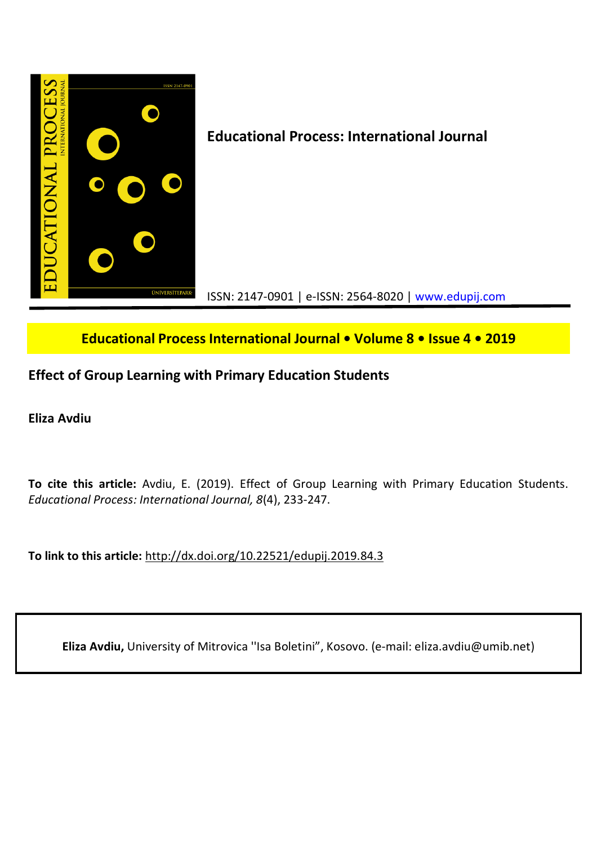

**Educational Process International Journal • Volume 8 • Issue 4 • 2019**

# **Effect of Group Learning with Primary Education Students**

**Eliza Avdiu**

**To cite this article:** Avdiu, E. (2019). Effect of Group Learning with Primary Education Students. *Educational Process: International Journal, 8*(4), 233-247.

**To link to this article:** http://dx.doi.org/10.22521/edupij.2019.84.3

**Eliza Avdiu,** University of Mitrovica ''Isa Boletini", Kosovo. (e-mail: eliza.avdiu@umib.net)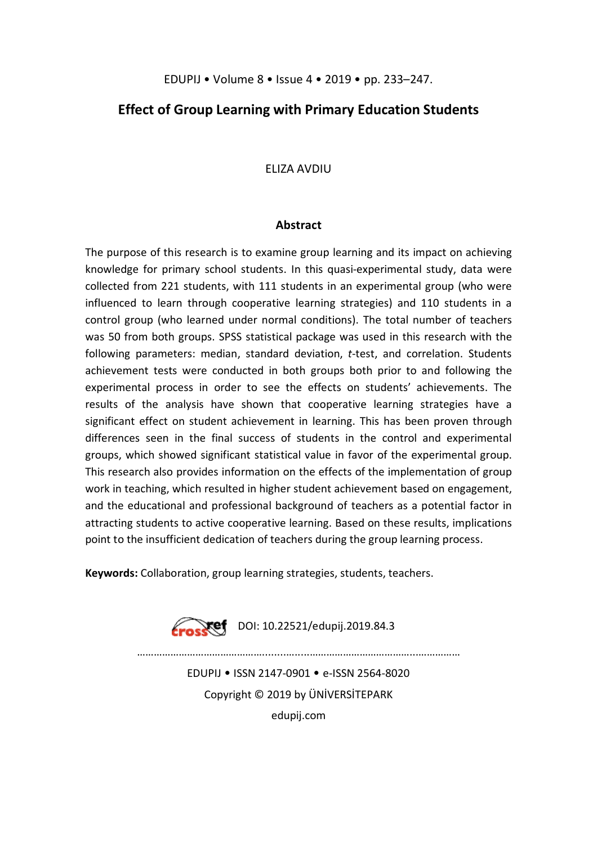## **Effect of Group Learning with Primary Education Students**

## ELIZA AVDIU

## **Abstract**

The purpose of this research is to examine group learning and its impact on achieving knowledge for primary school students. In this quasi-experimental study, data were collected from 221 students, with 111 students in an experimental group (who were influenced to learn through cooperative learning strategies) and 110 students in a control group (who learned under normal conditions). The total number of teachers was 50 from both groups. SPSS statistical package was used in this research with the following parameters: median, standard deviation, *t*-test, and correlation. Students achievement tests were conducted in both groups both prior to and following the experimental process in order to see the effects on students' achievements. The results of the analysis have shown that cooperative learning strategies have a significant effect on student achievement in learning. This has been proven through differences seen in the final success of students in the control and experimental groups, which showed significant statistical value in favor of the experimental group. This research also provides information on the effects of the implementation of group work in teaching, which resulted in higher student achievement based on engagement, and the educational and professional background of teachers as a potential factor in attracting students to active cooperative learning. Based on these results, implications point to the insufficient dedication of teachers during the group learning process.

**Keywords:** Collaboration, group learning strategies, students, teachers.

 $\sqrt{P^2 + 10.22521}$ /edupij.2019.84.3

………………………………………........….....………………………………...……………

EDUPIJ • ISSN 2147-0901 • e-ISSN 2564-8020 Copyright © 2019 by ÜNİVERSİTEPARK edupij.com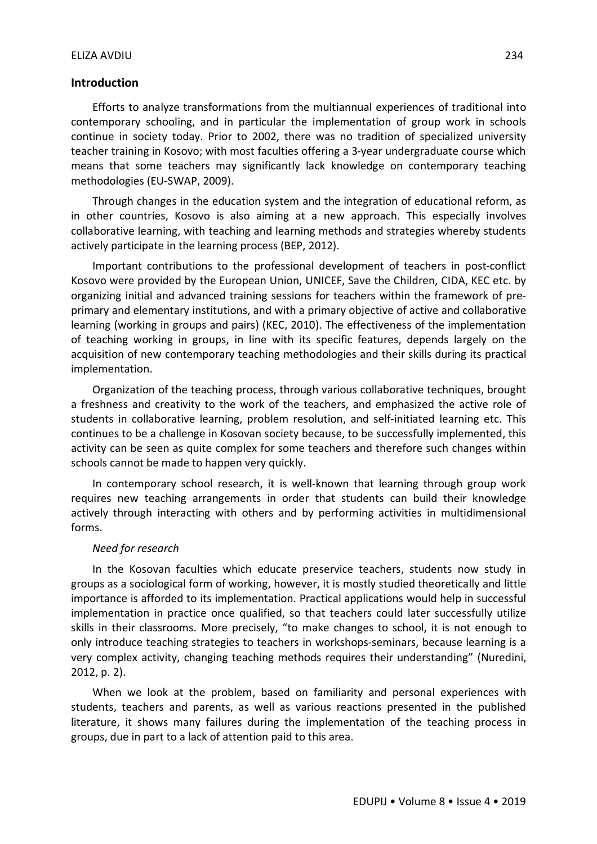## ELIZA AVDIU 234

## **Introduction**

Efforts to analyze transformations from the multiannual experiences of traditional into contemporary schooling, and in particular the implementation of group work in schools continue in society today. Prior to 2002, there was no tradition of specialized university teacher training in Kosovo; with most faculties offering a 3-year undergraduate course which means that some teachers may significantly lack knowledge on contemporary teaching methodologies (EU-SWAP, 2009).

Through changes in the education system and the integration of educational reform, as in other countries, Kosovo is also aiming at a new approach. This especially involves collaborative learning, with teaching and learning methods and strategies whereby students actively participate in the learning process (BEP, 2012).

Important contributions to the professional development of teachers in post-conflict Kosovo were provided by the European Union, UNICEF, Save the Children, CIDA, KEC etc. by organizing initial and advanced training sessions for teachers within the framework of preprimary and elementary institutions, and with a primary objective of active and collaborative learning (working in groups and pairs) (KEC, 2010). The effectiveness of the implementation of teaching working in groups, in line with its specific features, depends largely on the acquisition of new contemporary teaching methodologies and their skills during its practical implementation.

Organization of the teaching process, through various collaborative techniques, brought a freshness and creativity to the work of the teachers, and emphasized the active role of students in collaborative learning, problem resolution, and self-initiated learning etc. This continues to be a challenge in Kosovan society because, to be successfully implemented, this activity can be seen as quite complex for some teachers and therefore such changes within schools cannot be made to happen very quickly.

In contemporary school research, it is well-known that learning through group work requires new teaching arrangements in order that students can build their knowledge actively through interacting with others and by performing activities in multidimensional forms.

## *Need for research*

In the Kosovan faculties which educate preservice teachers, students now study in groups as a sociological form of working, however, it is mostly studied theoretically and little importance is afforded to its implementation. Practical applications would help in successful implementation in practice once qualified, so that teachers could later successfully utilize skills in their classrooms. More precisely, "to make changes to school, it is not enough to only introduce teaching strategies to teachers in workshops-seminars, because learning is a very complex activity, changing teaching methods requires their understanding" (Nuredini, 2012, p. 2).

When we look at the problem, based on familiarity and personal experiences with students, teachers and parents, as well as various reactions presented in the published literature, it shows many failures during the implementation of the teaching process in groups, due in part to a lack of attention paid to this area.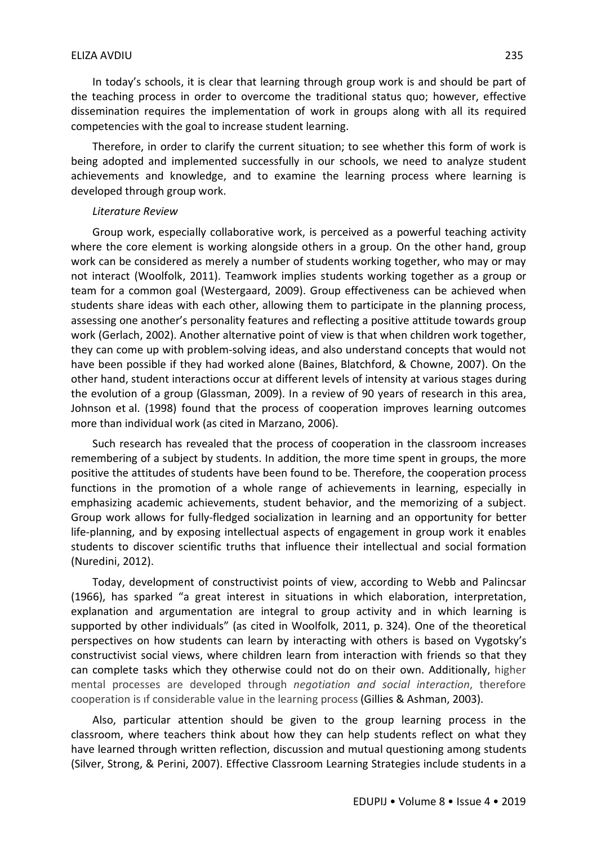In today's schools, it is clear that learning through group work is and should be part of the teaching process in order to overcome the traditional status quo; however, effective dissemination requires the implementation of work in groups along with all its required competencies with the goal to increase student learning.

Therefore, in order to clarify the current situation; to see whether this form of work is being adopted and implemented successfully in our schools, we need to analyze student achievements and knowledge, and to examine the learning process where learning is developed through group work.

#### *Literature Review*

Group work, especially collaborative work, is perceived as a powerful teaching activity where the core element is working alongside others in a group. On the other hand, group work can be considered as merely a number of students working together, who may or may not interact (Woolfolk, 2011). Teamwork implies students working together as a group or team for a common goal (Westergaard, 2009). Group effectiveness can be achieved when students share ideas with each other, allowing them to participate in the planning process, assessing one another's personality features and reflecting a positive attitude towards group work (Gerlach, 2002). Another alternative point of view is that when children work together, they can come up with problem-solving ideas, and also understand concepts that would not have been possible if they had worked alone (Baines, Blatchford, & Chowne, 2007). On the other hand, student interactions occur at different levels of intensity at various stages during the evolution of a group (Glassman, 2009). In a review of 90 years of research in this area, Johnson et al. (1998) found that the process of cooperation improves learning outcomes more than individual work (as cited in Marzano, 2006).

Such research has revealed that the process of cooperation in the classroom increases remembering of a subject by students. In addition, the more time spent in groups, the more positive the attitudes of students have been found to be. Therefore, the cooperation process functions in the promotion of a whole range of achievements in learning, especially in emphasizing academic achievements, student behavior, and the memorizing of a subject. Group work allows for fully-fledged socialization in learning and an opportunity for better life-planning, and by exposing intellectual aspects of engagement in group work it enables students to discover scientific truths that influence their intellectual and social formation (Nuredini, 2012).

Today, development of constructivist points of view, according to Webb and Palincsar (1966), has sparked "a great interest in situations in which elaboration, interpretation, explanation and argumentation are integral to group activity and in which learning is supported by other individuals" (as cited in Woolfolk, 2011, p. 324). One of the theoretical perspectives on how students can learn by interacting with others is based on Vygotsky's constructivist social views, where children learn from interaction with friends so that they can complete tasks which they otherwise could not do on their own. Additionally, higher mental processes are developed through *negotiation and social interaction*, therefore cooperation is ıf considerable value in the learning process (Gillies & Ashman, 2003).

Also, particular attention should be given to the group learning process in the classroom, where teachers think about how they can help students reflect on what they have learned through written reflection, discussion and mutual questioning among students (Silver, Strong, & Perini, 2007). Effective Classroom Learning Strategies include students in a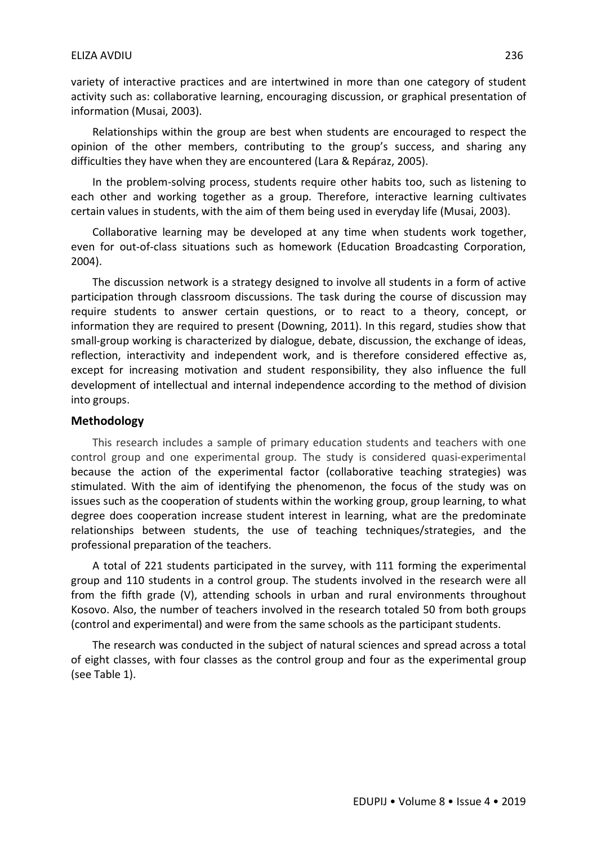variety of interactive practices and are intertwined in more than one category of student activity such as: collaborative learning, encouraging discussion, or graphical presentation of information (Musai, 2003).

Relationships within the group are best when students are encouraged to respect the opinion of the other members, contributing to the group's success, and sharing any difficulties they have when they are encountered (Lara & Repáraz, 2005).

In the problem-solving process, students require other habits too, such as listening to each other and working together as a group. Therefore, interactive learning cultivates certain values in students, with the aim of them being used in everyday life (Musai, 2003).

Collaborative learning may be developed at any time when students work together, even for out-of-class situations such as homework (Education Broadcasting Corporation, 2004).

The discussion network is a strategy designed to involve all students in a form of active participation through classroom discussions. The task during the course of discussion may require students to answer certain questions, or to react to a theory, concept, or information they are required to present (Downing, 2011). In this regard, studies show that small-group working is characterized by dialogue, debate, discussion, the exchange of ideas, reflection, interactivity and independent work, and is therefore considered effective as, except for increasing motivation and student responsibility, they also influence the full development of intellectual and internal independence according to the method of division into groups.

#### **Methodology**

This research includes a sample of primary education students and teachers with one control group and one experimental group. The study is considered quasi-experimental because the action of the experimental factor (collaborative teaching strategies) was stimulated. With the aim of identifying the phenomenon, the focus of the study was on issues such as the cooperation of students within the working group, group learning, to what degree does cooperation increase student interest in learning, what are the predominate relationships between students, the use of teaching techniques/strategies, and the professional preparation of the teachers.

A total of 221 students participated in the survey, with 111 forming the experimental group and 110 students in a control group. The students involved in the research were all from the fifth grade (V), attending schools in urban and rural environments throughout Kosovo. Also, the number of teachers involved in the research totaled 50 from both groups (control and experimental) and were from the same schools as the participant students.

The research was conducted in the subject of natural sciences and spread across a total of eight classes, with four classes as the control group and four as the experimental group (see Table 1).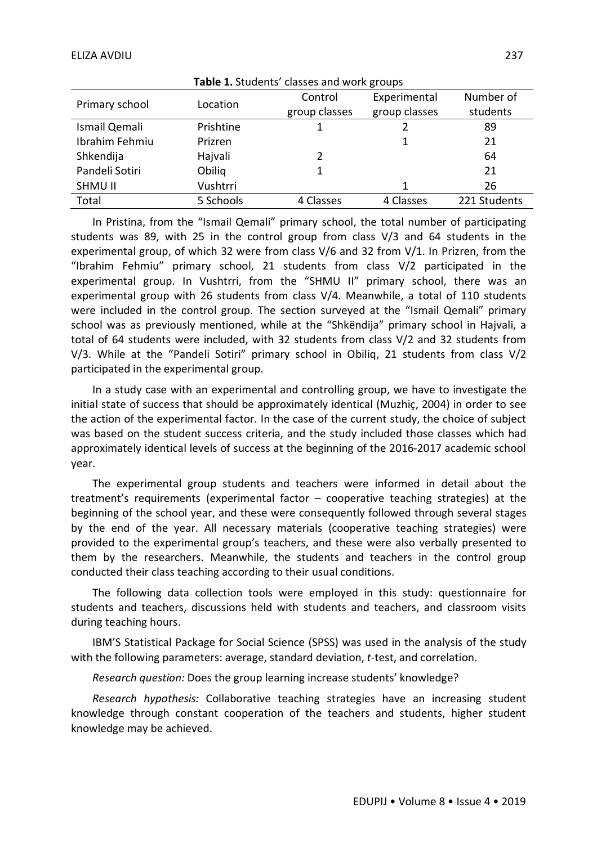| <b>I able 1.</b> Students classes and work groups |           |               |               |              |  |
|---------------------------------------------------|-----------|---------------|---------------|--------------|--|
| Primary school                                    | Location  | Control       | Experimental  | Number of    |  |
|                                                   |           | group classes | group classes | students     |  |
| Ismail Qemali                                     | Prishtine |               |               | 89           |  |
| Ibrahim Fehmiu                                    | Prizren   |               | 1             | 21           |  |
| Shkendija                                         | Hajvali   |               |               | 64           |  |
| Pandeli Sotiri                                    | Obilig    |               |               | 21           |  |
| <b>SHMU II</b>                                    | Vushtrri  |               | 1             | 26           |  |
| Total                                             | 5 Schools | 4 Classes     | 4 Classes     | 221 Students |  |

**Table 1.** Students' classes and work groups

In Pristina, from the "Ismail Qemali" primary school, the total number of participating students was 89, with 25 in the control group from class V/3 and 64 students in the experimental group, of which 32 were from class V/6 and 32 from V/1. In Prizren, from the "Ibrahim Fehmiu" primary school, 21 students from class V/2 participated in the experimental group. In Vushtrri, from the "SHMU II" primary school, there was an experimental group with 26 students from class V/4. Meanwhile, a total of 110 students were included in the control group. The section surveyed at the "Ismail Qemali" primary school was as previously mentioned, while at the "Shkёndija" primary school in Hajvali, a total of 64 students were included, with 32 students from class V/2 and 32 students from V/3. While at the "Pandeli Sotiri" primary school in Obiliq, 21 students from class V/2 participated in the experimental group.

In a study case with an experimental and controlling group, we have to investigate the initial state of success that should be approximately identical (Muzhiç, 2004) in order to see the action of the experimental factor. In the case of the current study, the choice of subject was based on the student success criteria, and the study included those classes which had approximately identical levels of success at the beginning of the 2016-2017 academic school year.

The experimental group students and teachers were informed in detail about the treatment's requirements (experimental factor – cooperative teaching strategies) at the beginning of the school year, and these were consequently followed through several stages by the end of the year. All necessary materials (cooperative teaching strategies) were provided to the experimental group's teachers, and these were also verbally presented to them by the researchers. Meanwhile, the students and teachers in the control group conducted their class teaching according to their usual conditions.

The following data collection tools were employed in this study: questionnaire for students and teachers, discussions held with students and teachers, and classroom visits during teaching hours.

IBM'S Statistical Package for Social Science (SPSS) was used in the analysis of the study with the following parameters: average, standard deviation, *t*-test, and correlation.

*Research question:* Does the group learning increase students' knowledge?

*Research hypothesis:* Collaborative teaching strategies have an increasing student knowledge through constant cooperation of the teachers and students, higher student knowledge may be achieved.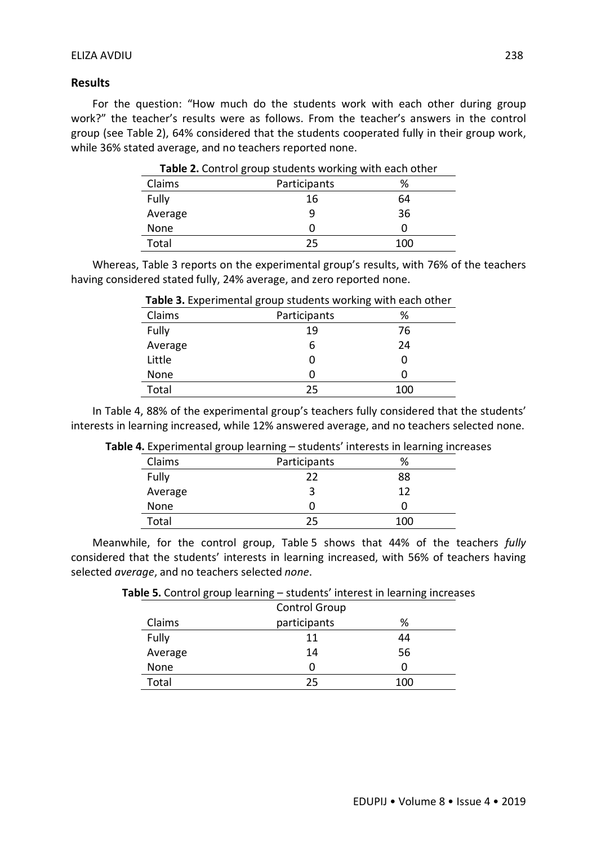## **Results**

For the question: "How much do the students work with each other during group work?" the teacher's results were as follows. From the teacher's answers in the control group (see Table 2), 64% considered that the students cooperated fully in their group work, while 36% stated average, and no teachers reported none.

| Claims  | Participants | %   |
|---------|--------------|-----|
| Fully   | 16           | 64  |
| Average | 9            | 36  |
| None    |              |     |
| Total   | 25           | 100 |

**Table 2.** Control group students working with each other

Whereas, Table 3 reports on the experimental group's results, with 76% of the teachers having considered stated fully, 24% average, and zero reported none.

| Claims  | Participants | %   |
|---------|--------------|-----|
| Fully   | 19           | 76  |
| Average | 6            | 24  |
| Little  | 0            | 0   |
| None    | 0            | 0   |
| Total   | 25           | 100 |

## **Table 3.** Experimental group students working with each other

In Table 4, 88% of the experimental group's teachers fully considered that the students' interests in learning increased, while 12% answered average, and no teachers selected none.

| ັ       | ັ            | ັ   |
|---------|--------------|-----|
| Claims  | Participants | %   |
| Fully   | 22           | 88  |
| Average |              | 12  |
| None    |              |     |
| Total   | 25           | 100 |

Meanwhile, for the control group, Table 5 shows that 44% of the teachers *fully*  considered that the students' interests in learning increased, with 56% of teachers having selected *average*, and no teachers selected *none*.

|        | <b>Control Group</b> |  |
|--------|----------------------|--|
| Claims | participants         |  |
| Fully  |                      |  |

**Table 5.** Control group learning – students' interest in learning increases

| Fully   | 11 | 44 |
|---------|----|----|
| Average | 14 | 56 |
| None    |    |    |
|         |    |    |

Total 25 100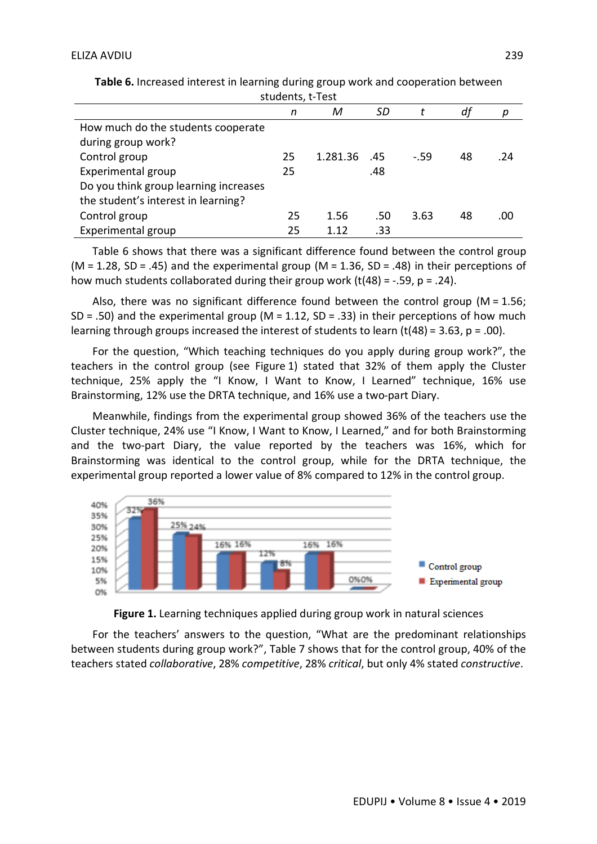|                                       | n  | М        | SD  |        | df |     |
|---------------------------------------|----|----------|-----|--------|----|-----|
| How much do the students cooperate    |    |          |     |        |    |     |
| during group work?                    |    |          |     |        |    |     |
| Control group                         | 25 | 1.281.36 | .45 | $-.59$ | 48 | .24 |
| Experimental group                    | 25 |          | .48 |        |    |     |
| Do you think group learning increases |    |          |     |        |    |     |
| the student's interest in learning?   |    |          |     |        |    |     |
| Control group                         | 25 | 1.56     | .50 | 3.63   | 48 | .00 |
| Experimental group                    | 25 | 1.12     | .33 |        |    |     |

**Table 6.** Increased interest in learning during group work and cooperation between students, t-Test

Table 6 shows that there was a significant difference found between the control group (M = 1.28, SD = .45) and the experimental group (M = 1.36, SD = .48) in their perceptions of how much students collaborated during their group work (t(48) =  $-.59$ , p =  $.24$ ).

Also, there was no significant difference found between the control group ( $M = 1.56$ ; SD = .50) and the experimental group ( $M = 1.12$ , SD = .33) in their perceptions of how much learning through groups increased the interest of students to learn  $(t(48) = 3.63, p = .00)$ .

For the question, "Which teaching techniques do you apply during group work?", the teachers in the control group (see Figure 1) stated that 32% of them apply the Cluster technique, 25% apply the "I Know, I Want to Know, I Learned" technique, 16% use Brainstorming, 12% use the DRTA technique, and 16% use a two-part Diary.

Meanwhile, findings from the experimental group showed 36% of the teachers use the Cluster technique, 24% use "I Know, I Want to Know, I Learned," and for both Brainstorming and the two-part Diary, the value reported by the teachers was 16%, which for Brainstorming was identical to the control group, while for the DRTA technique, the experimental group reported a lower value of 8% compared to 12% in the control group.





For the teachers' answers to the question, "What are the predominant relationships between students during group work?", Table 7 shows that for the control group, 40% of the teachers stated *collaborative*, 28% *competitive*, 28% *critical*, but only 4% stated *constructive*.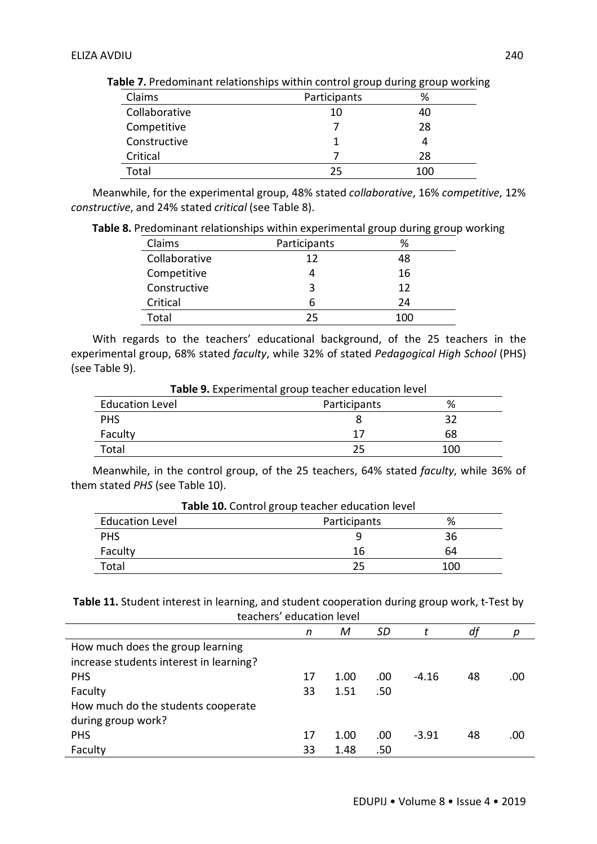| Claims        | Participants | %   |
|---------------|--------------|-----|
| Collaborative | 10           | 40  |
| Competitive   |              | 28  |
| Constructive  |              |     |
| Critical      |              | 28  |
| Total         | フら           | 100 |

**Table 7.** Predominant relationships within control group during group working

Meanwhile, for the experimental group, 48% stated *collaborative*, 16% *competitive*, 12% *constructive*, and 24% stated *critical* (see Table 8).

**Table 8.** Predominant relationships within experimental group during group working

| Claims        | Participants | %   |
|---------------|--------------|-----|
| Collaborative | 12           | 48  |
| Competitive   |              | 16  |
| Constructive  | 3            | 12  |
| Critical      | 6            | 24  |
| Total         | つら           | 100 |

With regards to the teachers' educational background, of the 25 teachers in the experimental group, 68% stated *faculty*, while 32% of stated *Pedagogical High School* (PHS) (see Table 9).

| Table 9. Experimental group teacher education level |              |     |  |
|-----------------------------------------------------|--------------|-----|--|
| <b>Education Level</b>                              | Participants | %   |  |
| <b>PHS</b>                                          |              | 32  |  |
| Faculty                                             | 17           | 68  |  |
| Total                                               | 25           | 100 |  |

Meanwhile, in the control group, of the 25 teachers, 64% stated *faculty*, while 36% of them stated *PHS* (see Table 10).

| <b>Table 10.</b> Control group teacher education level |              |     |  |
|--------------------------------------------------------|--------------|-----|--|
| <b>Education Level</b>                                 | Participants | %   |  |
| <b>PHS</b>                                             |              | 36  |  |
| Faculty                                                | 16           | 64  |  |
| Total                                                  | 25           | 100 |  |

**Table 10.** Control group teacher education level

**Table 11.** Student interest in learning, and student cooperation during group work, t-Test by teachers' education level

|                                         | n  | M    | SD  |         | df |     |
|-----------------------------------------|----|------|-----|---------|----|-----|
| How much does the group learning        |    |      |     |         |    |     |
| increase students interest in learning? |    |      |     |         |    |     |
| <b>PHS</b>                              | 17 | 1.00 | .00 | $-4.16$ | 48 | .00 |
| Faculty                                 | 33 | 1.51 | .50 |         |    |     |
| How much do the students cooperate      |    |      |     |         |    |     |
| during group work?                      |    |      |     |         |    |     |
| <b>PHS</b>                              | 17 | 1.00 | .00 | $-3.91$ | 48 | .00 |
| Faculty                                 | 33 | 1.48 | .50 |         |    |     |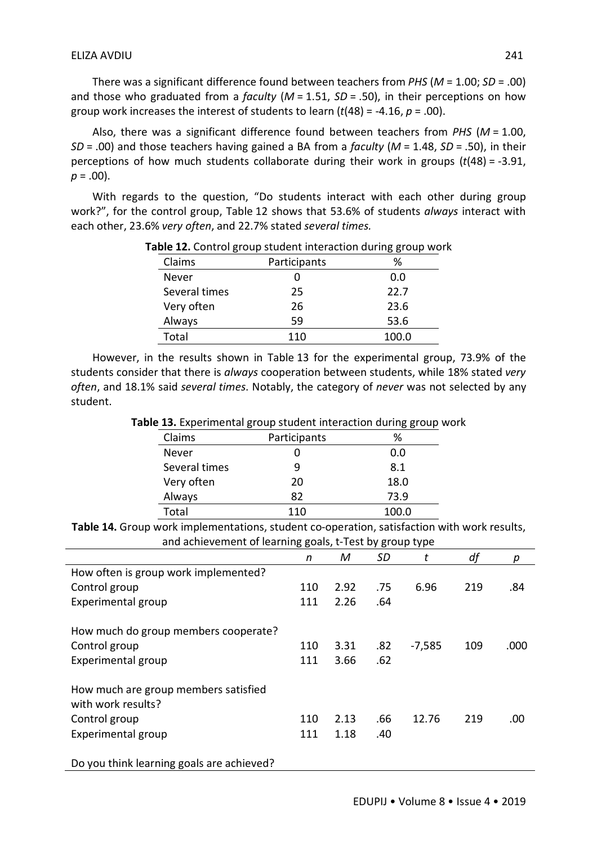There was a significant difference found between teachers from *PHS* (*M* = 1.00; *SD* = .00) and those who graduated from a *faculty* (*M* = 1.51, *SD* = .50), in their perceptions on how group work increases the interest of students to learn (*t*(48) = -4.16, *p* = .00).

Also, there was a significant difference found between teachers from *PHS* (*M* = 1.00, *SD* = .00) and those teachers having gained a BA from a *faculty* (*M* = 1.48, *SD* = .50), in their perceptions of how much students collaborate during their work in groups (*t*(48) = -3.91,  $p = .00$ ).

With regards to the question, "Do students interact with each other during group work?", for the control group, Table 12 shows that 53.6% of students *always* interact with each other, 23.6% *very often*, and 22.7% stated *several times.* 

| Claims        | Participants | %     |
|---------------|--------------|-------|
| Never         |              | 0.0   |
| Several times | 25           | 22.7  |
| Very often    | 26           | 23.6  |
| Always        | 59           | 53.6  |
| Total         | 110          | 100.0 |

## **Table 12.** Control group student interaction during group work

However, in the results shown in Table 13 for the experimental group, 73.9% of the students consider that there is *always* cooperation between students, while 18% stated *very often*, and 18.1% said *several times*. Notably, the category of *never* was not selected by any student.

**Table 13.** Experimental group student interaction during group work

| . .           |              | --<br> |
|---------------|--------------|--------|
| Claims        | Participants | %      |
| Never         |              | 0.0    |
| Several times |              | 8.1    |
| Very often    | 20           | 18.0   |
| Always        | 82           | 73.9   |
| Total         | 110          | 100.0  |

**Table 14.** Group work implementations, student co-operation, satisfaction with work results, and achievement of learning goals, t-Test by group type

|                                                            | n   | М    | SD  | t        | df  | р    |
|------------------------------------------------------------|-----|------|-----|----------|-----|------|
| How often is group work implemented?                       |     |      |     |          |     |      |
| Control group                                              | 110 | 2.92 | .75 | 6.96     | 219 | .84  |
| Experimental group                                         | 111 | 2.26 | .64 |          |     |      |
| How much do group members cooperate?                       |     |      |     |          |     |      |
| Control group                                              | 110 | 3.31 | .82 | $-7,585$ | 109 | .000 |
| Experimental group                                         | 111 | 3.66 | .62 |          |     |      |
| How much are group members satisfied<br>with work results? |     |      |     |          |     |      |
| Control group                                              | 110 | 2.13 | .66 | 12.76    | 219 | .00  |
| Experimental group                                         | 111 | 1.18 | .40 |          |     |      |
| Do you think learning goals are achieved?                  |     |      |     |          |     |      |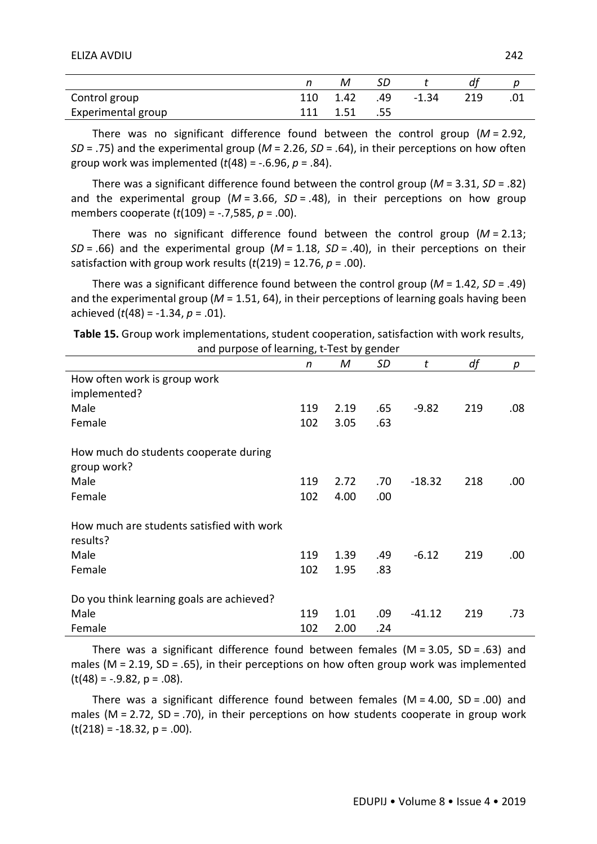#### ELIZA AVDIU 242

| Control group      |     | 110 1.42 | .49 | $-1.34$ | 219 | .01 |
|--------------------|-----|----------|-----|---------|-----|-----|
| Experimental group | 111 | 1.51     | .55 |         |     |     |

There was no significant difference found between the control group (*M* = 2.92, *SD* = .75) and the experimental group (*M* = 2.26, *SD* = .64), in their perceptions on how often group work was implemented (*t*(48) = -.6.96, *p* = .84).

There was a significant difference found between the control group (*M* = 3.31, *SD* = .82) and the experimental group (*M* = 3.66, *SD* = .48), in their perceptions on how group members cooperate (*t*(109) = -.7,585, *p* = .00).

There was no significant difference found between the control group (*M* = 2.13; *SD* = .66) and the experimental group (*M* = 1.18, *SD* = .40), in their perceptions on their satisfaction with group work results (*t*(219) = 12.76, *p* = .00).

There was a significant difference found between the control group (*M* = 1.42, *SD* = .49) and the experimental group (*M* = 1.51, 64), in their perceptions of learning goals having been achieved (*t*(48) = -1.34, *p* = .01).

| Table 15. Group work implementations, student cooperation, satisfaction with work results, |
|--------------------------------------------------------------------------------------------|
| and purpose of learning, t-Test by gender                                                  |

| and parpose or rearring, crest by genuer  |     |      |      |          |     |      |
|-------------------------------------------|-----|------|------|----------|-----|------|
|                                           | n   | M    | SD   | t        | df  | р    |
| How often work is group work              |     |      |      |          |     |      |
| implemented?                              |     |      |      |          |     |      |
| Male                                      | 119 | 2.19 | .65  | $-9.82$  | 219 | .08  |
| Female                                    | 102 | 3.05 | .63  |          |     |      |
|                                           |     |      |      |          |     |      |
| How much do students cooperate during     |     |      |      |          |     |      |
| group work?                               |     |      |      |          |     |      |
| Male                                      | 119 | 2.72 | .70  | $-18.32$ | 218 | .00  |
| Female                                    | 102 | 4.00 | .00. |          |     |      |
|                                           |     |      |      |          |     |      |
| How much are students satisfied with work |     |      |      |          |     |      |
| results?                                  |     |      |      |          |     |      |
| Male                                      | 119 | 1.39 | .49  | $-6.12$  | 219 | .00. |
| Female                                    | 102 | 1.95 | .83  |          |     |      |
|                                           |     |      |      |          |     |      |
| Do you think learning goals are achieved? |     |      |      |          |     |      |
| Male                                      | 119 | 1.01 | .09  | $-41.12$ | 219 | .73  |
| Female                                    | 102 | 2.00 | .24  |          |     |      |

There was a significant difference found between females ( $M = 3.05$ ,  $SD = .63$ ) and males ( $M = 2.19$ ,  $SD = .65$ ), in their perceptions on how often group work was implemented  $(t(48) = -.9.82, p = .08)$ .

There was a significant difference found between females  $(M = 4.00, SD = .00)$  and males ( $M = 2.72$ ,  $SD = .70$ ), in their perceptions on how students cooperate in group work  $(t(218) = -18.32, p = .00).$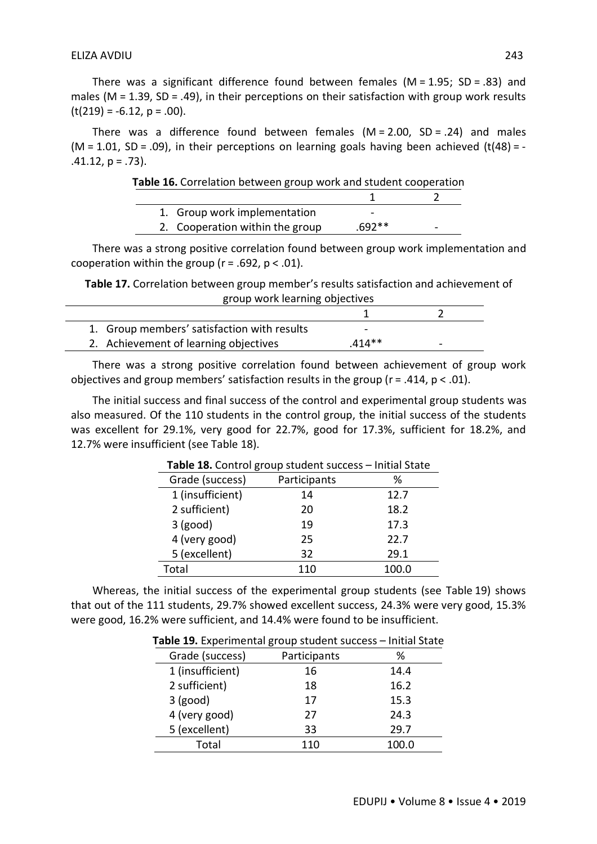There was a significant difference found between females ( $M = 1.95$ ; SD = .83) and males (M = 1.39, SD = .49), in their perceptions on their satisfaction with group work results  $(t(219) = -6.12, p = .00).$ 

There was a difference found between females  $(M = 2.00, SD = .24)$  and males  $(M = 1.01, SD = .09)$ , in their perceptions on learning goals having been achieved  $(t(48) = -1.01)$  $.41.12, p = .73$ ).

| Table 16. Correlation between group work and student cooperation |          |   |
|------------------------------------------------------------------|----------|---|
|                                                                  |          |   |
| 1. Group work implementation                                     | -        |   |
| 2. Cooperation within the group                                  | $.692**$ | - |

There was a strong positive correlation found between group work implementation and cooperation within the group ( $r = .692$ ,  $p < .01$ ).

**Table 17.** Correlation between group member's results satisfaction and achievement of group work learning objectives

| 1. Group members' satisfaction with results | -        |  |
|---------------------------------------------|----------|--|
| 2. Achievement of learning objectives       | $.414**$ |  |

There was a strong positive correlation found between achievement of group work objectives and group members' satisfaction results in the group ( $r = .414$ ,  $p < .01$ ).

The initial success and final success of the control and experimental group students was also measured. Of the 110 students in the control group, the initial success of the students was excellent for 29.1%, very good for 22.7%, good for 17.3%, sufficient for 18.2%, and 12.7% were insufficient (see Table 18).

|                  | <b>Table 10.</b> Control group student success | mnuar Juale |
|------------------|------------------------------------------------|-------------|
| Grade (success)  | Participants                                   | %           |
| 1 (insufficient) | 14                                             | 12.7        |
| 2 sufficient)    | 20                                             | 18.2        |
| $3$ (good)       | 19                                             | 17.3        |
| 4 (very good)    | 25                                             | 22.7        |
| 5 (excellent)    | 32                                             | 29.1        |
| Total            | 110                                            | 100.0       |

**Table 18.** Control group student success – Initial State

Whereas, the initial success of the experimental group students (see Table 19) shows that out of the 111 students, 29.7% showed excellent success, 24.3% were very good, 15.3% were good, 16.2% were sufficient, and 14.4% were found to be insufficient.

| Grade (success)  | Participants | ℅     |
|------------------|--------------|-------|
| 1 (insufficient) | 16           | 14.4  |
| 2 sufficient)    | 18           | 16.2  |
| $3$ (good)       | 17           | 15.3  |
| 4 (very good)    | 27           | 24.3  |
| 5 (excellent)    | 33           | 29.7  |
| Total            | 110          | 100.0 |

**Table 19.** Experimental group student success – Initial State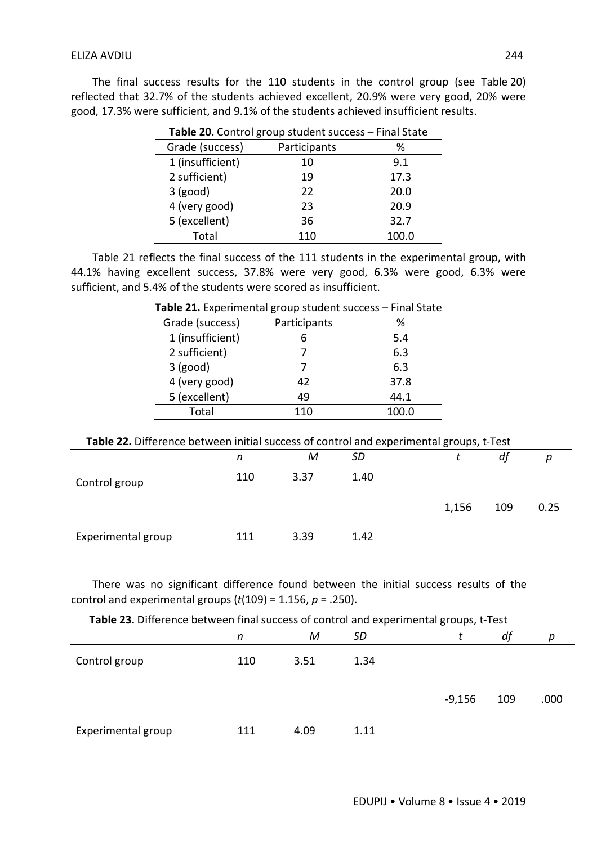The final success results for the 110 students in the control group (see Table 20) reflected that 32.7% of the students achieved excellent, 20.9% were very good, 20% were good, 17.3% were sufficient, and 9.1% of the students achieved insufficient results.

| <b>Table 20.</b> Control group student success – Final State |              |       |  |  |  |
|--------------------------------------------------------------|--------------|-------|--|--|--|
| Grade (success)                                              | Participants | ℅     |  |  |  |
| 1 (insufficient)                                             | 10           | 9.1   |  |  |  |
| 2 sufficient)                                                | 19           | 17.3  |  |  |  |
| $3$ (good)                                                   | 22           | 20.0  |  |  |  |
| 4 (very good)                                                | 23           | 20.9  |  |  |  |
| 5 (excellent)                                                | 36           | 32.7  |  |  |  |
| Total                                                        | 110          | 100.0 |  |  |  |

**Table 20.** Control group student success – Final State

Table 21 reflects the final success of the 111 students in the experimental group, with 44.1% having excellent success, 37.8% were very good, 6.3% were good, 6.3% were sufficient, and 5.4% of the students were scored as insufficient.

| $\frac{1}{2}$ and $\frac{1}{2}$ components and $\frac{1}{2}$ , $\frac{1}{2}$ components capacity | .            |       |
|--------------------------------------------------------------------------------------------------|--------------|-------|
| Grade (success)                                                                                  | Participants | ℅     |
| 1 (insufficient)                                                                                 |              | 5.4   |
| 2 sufficient)                                                                                    |              | 6.3   |
| $3$ (good)                                                                                       |              | 6.3   |
| 4 (very good)                                                                                    | 42           | 37.8  |
| 5 (excellent)                                                                                    | 49           | 44.1  |
| Total                                                                                            | 110          | 100.0 |
|                                                                                                  |              |       |

## **Table 21.** Experimental group student success – Final State

| Table 22. Difference between initial success of control and experimental groups, t-Test |  |
|-----------------------------------------------------------------------------------------|--|
|-----------------------------------------------------------------------------------------|--|

|                    | n   | M    | <b>SD</b> |       | df  |      |
|--------------------|-----|------|-----------|-------|-----|------|
| Control group      | 110 | 3.37 | 1.40      |       |     |      |
|                    |     |      |           | 1,156 | 109 | 0.25 |
| Experimental group | 111 | 3.39 | 1.42      |       |     |      |

There was no significant difference found between the initial success results of the control and experimental groups (*t*(109) = 1.156, *p* = .250).

| Table 23. Difference between final success of control and experimental groups, t-Test |     |      |      |          |     |      |  |
|---------------------------------------------------------------------------------------|-----|------|------|----------|-----|------|--|
|                                                                                       | n   | М    | SD   |          | df  | р    |  |
| Control group                                                                         | 110 | 3.51 | 1.34 |          |     |      |  |
|                                                                                       |     |      |      | $-9,156$ | 109 | .000 |  |
| Experimental group                                                                    | 111 | 4.09 | 1.11 |          |     |      |  |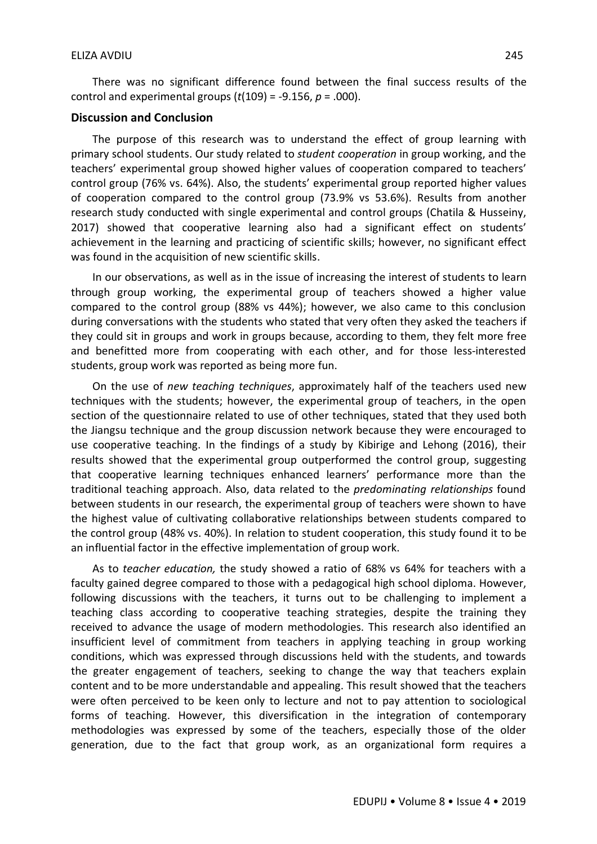There was no significant difference found between the final success results of the control and experimental groups (*t*(109) = -9.156, *p* = .000).

#### **Discussion and Conclusion**

The purpose of this research was to understand the effect of group learning with primary school students. Our study related to *student cooperation* in group working, and the teachers' experimental group showed higher values of cooperation compared to teachers' control group (76% vs. 64%). Also, the students' experimental group reported higher values of cooperation compared to the control group (73.9% vs 53.6%). Results from another research study conducted with single experimental and control groups (Chatila & Husseiny, 2017) showed that cooperative learning also had a significant effect on students' achievement in the learning and practicing of scientific skills; however, no significant effect was found in the acquisition of new scientific skills.

In our observations, as well as in the issue of increasing the interest of students to learn through group working, the experimental group of teachers showed a higher value compared to the control group (88% vs 44%); however, we also came to this conclusion during conversations with the students who stated that very often they asked the teachers if they could sit in groups and work in groups because, according to them, they felt more free and benefitted more from cooperating with each other, and for those less-interested students, group work was reported as being more fun.

On the use of *new teaching techniques*, approximately half of the teachers used new techniques with the students; however, the experimental group of teachers, in the open section of the questionnaire related to use of other techniques, stated that they used both the Jiangsu technique and the group discussion network because they were encouraged to use cooperative teaching. In the findings of a study by Kibirige and Lehong (2016), their results showed that the experimental group outperformed the control group, suggesting that cooperative learning techniques enhanced learners' performance more than the traditional teaching approach. Also, data related to the *predominating relationships* found between students in our research, the experimental group of teachers were shown to have the highest value of cultivating collaborative relationships between students compared to the control group (48% vs. 40%). In relation to student cooperation, this study found it to be an influential factor in the effective implementation of group work.

As to *teacher education,* the study showed a ratio of 68% vs 64% for teachers with a faculty gained degree compared to those with a pedagogical high school diploma. However, following discussions with the teachers, it turns out to be challenging to implement a teaching class according to cooperative teaching strategies, despite the training they received to advance the usage of modern methodologies. This research also identified an insufficient level of commitment from teachers in applying teaching in group working conditions, which was expressed through discussions held with the students, and towards the greater engagement of teachers, seeking to change the way that teachers explain content and to be more understandable and appealing. This result showed that the teachers were often perceived to be keen only to lecture and not to pay attention to sociological forms of teaching. However, this diversification in the integration of contemporary methodologies was expressed by some of the teachers, especially those of the older generation, due to the fact that group work, as an organizational form requires a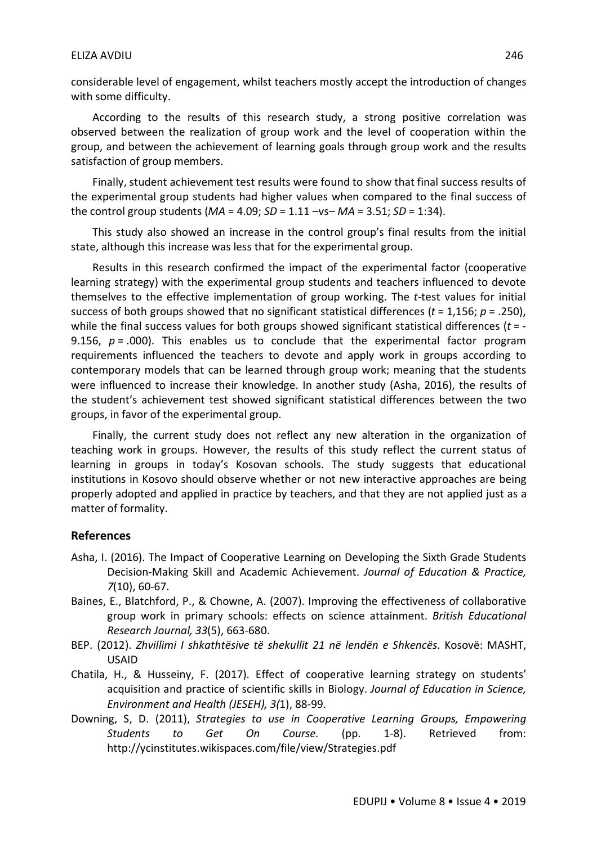## ELIZA AVDIU 246

considerable level of engagement, whilst teachers mostly accept the introduction of changes with some difficulty.

According to the results of this research study, a strong positive correlation was observed between the realization of group work and the level of cooperation within the group, and between the achievement of learning goals through group work and the results satisfaction of group members.

Finally, student achievement test results were found to show that final success results of the experimental group students had higher values when compared to the final success of the control group students (*MA* = 4.09; *SD* = 1.11 –vs– *MA* = 3.51; *SD* = 1:34).

This study also showed an increase in the control group's final results from the initial state, although this increase was less that for the experimental group.

Results in this research confirmed the impact of the experimental factor (cooperative learning strategy) with the experimental group students and teachers influenced to devote themselves to the effective implementation of group working. The *t-*test values for initial success of both groups showed that no significant statistical differences (*t* = 1,156; *p* = .250), while the final success values for both groups showed significant statistical differences (*t* = - 9.156,  $p = .000$ ). This enables us to conclude that the experimental factor program requirements influenced the teachers to devote and apply work in groups according to contemporary models that can be learned through group work; meaning that the students were influenced to increase their knowledge. In another study (Asha, 2016), the results of the student's achievement test showed significant statistical differences between the two groups, in favor of the experimental group.

Finally, the current study does not reflect any new alteration in the organization of teaching work in groups. However, the results of this study reflect the current status of learning in groups in today's Kosovan schools. The study suggests that educational institutions in Kosovo should observe whether or not new interactive approaches are being properly adopted and applied in practice by teachers, and that they are not applied just as a matter of formality.

## **References**

- Asha, I. (2016). The Impact of Cooperative Learning on Developing the Sixth Grade Students Decision-Making Skill and Academic Achievement. *Journal of Education & Practice, 7*(10), 60-67.
- Baines, E., Blatchford, P., & Chowne, A. (2007). Improving the effectiveness of collaborative group work in primary schools: effects on science attainment. *British Educational Research Journal, 33*(5), 663-680.
- BEP. (2012). *Zhvillimi I shkathtësive të shekullit 21 në lendën e Shkencës*. Kosovë: MASHT, USAID
- Chatila, H., & Husseiny, F. (2017). Effect of cooperative learning strategy on students' acquisition and practice of scientific skills in Biology. *Journal of Education in Science, Environment and Health (JESEH), 3(*1), 88-99.
- Downing, S, D. (2011), *Strategies to use in Cooperative Learning Groups, Empowering Students to Get On Course.* (pp. 1-8). Retrieved from: http://ycinstitutes.wikispaces.com/file/view/Strategies.pdf